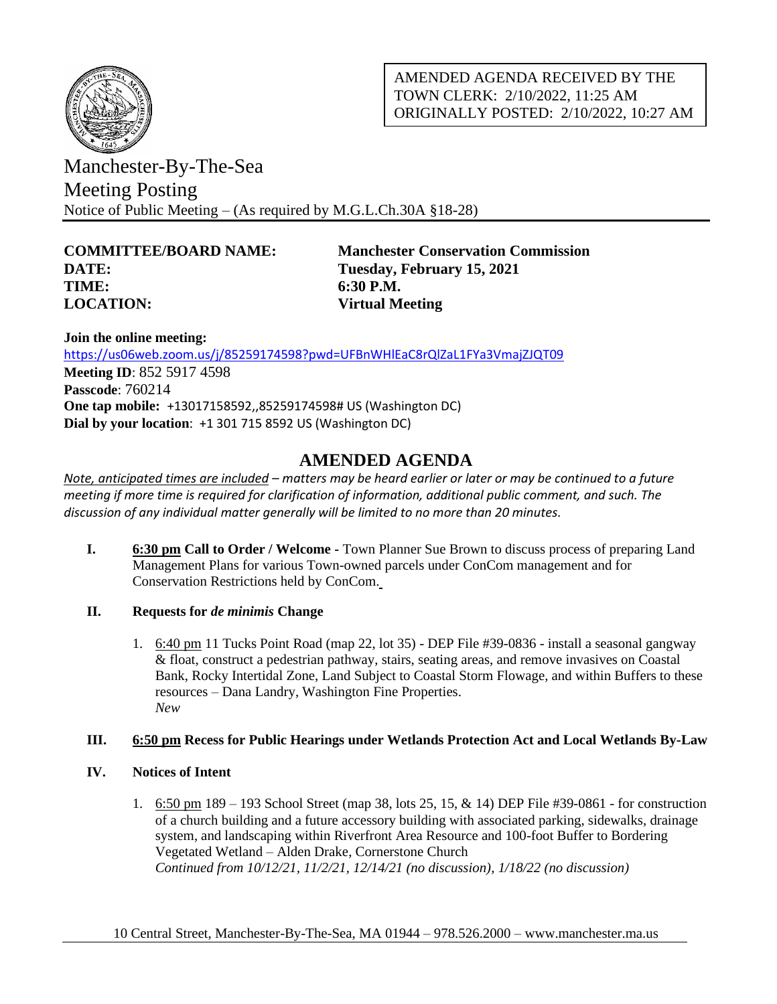

AMENDED AGENDA RECEIVED BY THE TOWN CLERK: 2/10/2022, 11:25 AM ORIGINALLY POSTED: 2/10/2022, 10:27 AM

Manchester-By-The-Sea Meeting Posting Notice of Public Meeting – (As required by M.G.L.Ch.30A §18-28)

**DATE: Tuesday, February 15, 2021 TIME: 6:30 P.M. LOCATION: Virtual Meeting**

**COMMITTEE/BOARD NAME: Manchester Conservation Commission**

**Join the online meeting:** <https://us06web.zoom.us/j/85259174598?pwd=UFBnWHlEaC8rQlZaL1FYa3VmajZJQT09> **Meeting ID**: 852 5917 4598 **Passcode**: 760214 **One tap mobile:** +13017158592,,85259174598# US (Washington DC) **Dial by your location**: +1 301 715 8592 US (Washington DC)

# **AMENDED AGENDA**

*Note, anticipated times are included – matters may be heard earlier or later or may be continued to a future meeting if more time is required for clarification of information, additional public comment, and such. The discussion of any individual matter generally will be limited to no more than 20 minutes.*

- **I. 6:30 pm Call to Order / Welcome -** Town Planner Sue Brown to discuss process of preparing Land Management Plans for various Town-owned parcels under ConCom management and for Conservation Restrictions held by ConCom.
- **II. Requests for** *de minimis* **Change**
	- 1. 6:40 pm 11 Tucks Point Road (map 22, lot 35) DEP File #39-0836 install a seasonal gangway & float, construct a pedestrian pathway, stairs, seating areas, and remove invasives on Coastal Bank, Rocky Intertidal Zone, Land Subject to Coastal Storm Flowage, and within Buffers to these resources – Dana Landry, Washington Fine Properties. *New*

## **III. 6:50 pm Recess for Public Hearings under Wetlands Protection Act and Local Wetlands By-Law**

- **IV. Notices of Intent**
	- 1. 6:50 pm 189 193 School Street (map 38, lots 25, 15, & 14) DEP File #39-0861 for construction of a church building and a future accessory building with associated parking, sidewalks, drainage system, and landscaping within Riverfront Area Resource and 100-foot Buffer to Bordering Vegetated Wetland – Alden Drake, Cornerstone Church *Continued from 10/12/21, 11/2/21, 12/14/21 (no discussion), 1/18/22 (no discussion)*